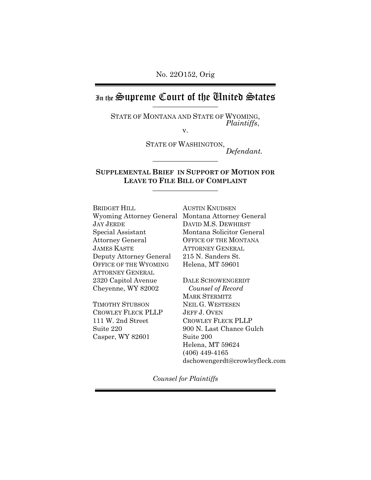No. 22O152, Orig

In the Supreme Court of the Chuited States

STATE OF MONTANA AND STATE OF WYOMING, *Plaintiffs*, v.

STATE OF WASHINGTON,  $Define$ 

**SUPPLEMENTAL BRIEF IN SUPPORT OF MOTION FOR LEAVE TO FILE BILL OF COMPLAINT** \_\_\_\_\_\_\_\_\_\_\_\_\_\_\_\_\_\_

BRIDGET HILL JAY JERDE Special Assistant Attorney General JAMES KASTE Deputy Attorney General OFFICE OF THE WYOMING ATTORNEY GENERAL 2320 Capitol Avenue Cheyenne, WY 82002

TIMOTHY STUBSON CROWLEY FLECK PLLP 111 W. 2nd Street Suite 220 Casper, WY 82601

Wyoming Attorney General Montana Attorney General AUSTIN KNUDSEN DAVID M.S. DEWHIRST Montana Solicitor General OFFICE OF THE MONTANA ATTORNEY GENERAL 215 N. Sanders St. Helena, MT 59601

> DALE SCHOWENGERDT *Counsel of Record* MARK STERMITZ NEIL G. WESTESEN JEFF J. OVEN CROWLEY FLECK PLLP 900 N. Last Chance Gulch Suite 200 Helena, MT 59624 (406) 449-4165 dschowengerdt@crowleyfleck.com

*Counsel for Plaintiffs*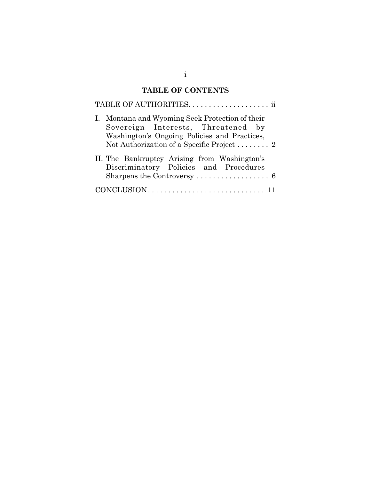# **TABLE OF CONTENTS**

| I. Montana and Wyoming Seek Protection of their<br>Sovereign Interests, Threatened by<br>Washington's Ongoing Policies and Practices,<br>Not Authorization of a Specific Project  2 |
|-------------------------------------------------------------------------------------------------------------------------------------------------------------------------------------|
| II. The Bankruptcy Arising from Washington's<br>Discriminatory Policies and Procedures<br>Sharpens the Controversy  6                                                               |
|                                                                                                                                                                                     |

i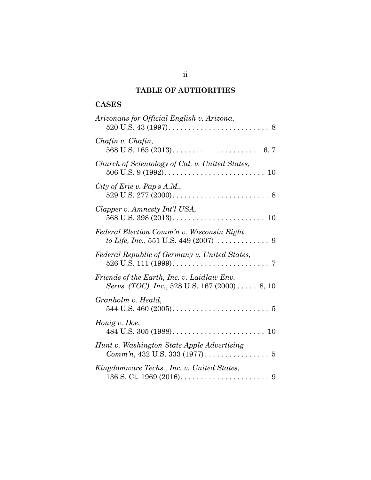## **TABLE OF AUTHORITIES**

## **CASES**

| Arizonans for Official English v. Arizona,                                                                |
|-----------------------------------------------------------------------------------------------------------|
| Chafin v. Chafin,                                                                                         |
| Church of Scientology of Cal. v. United States,                                                           |
| City of Erie v. Pap's A.M.,                                                                               |
| Clapper v. Amnesty Int'l USA,                                                                             |
| Federal Election Comm'n v. Wisconsin Right<br>to Life, Inc., 551 U.S. 449 (2007) $\ldots \ldots \ldots$ 9 |
| Federal Republic of Germany v. United States,                                                             |
| Friends of the Earth, Inc. v. Laidlaw Env.<br>Servs. (TOC), Inc., 528 U.S. 167 (2000) 8, 10               |
| Granholm v. Heald,                                                                                        |
| Honig v. Doe,                                                                                             |
| Hunt v. Washington State Apple Advertising                                                                |
| Kingdomware Techs., Inc. v. United States,                                                                |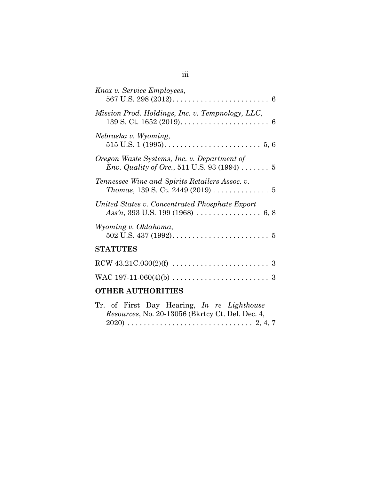| Knox v. Service Employees,                                                                                        |
|-------------------------------------------------------------------------------------------------------------------|
| Mission Prod. Holdings, Inc. v. Tempnology, LLC,                                                                  |
| Nebraska v. Wyoming,                                                                                              |
| Oregon Waste Systems, Inc. v. Department of<br><i>Env. Quality of Ore.</i> , 511 U.S. 93 (1994) $\ldots \ldots 5$ |
| Tennessee Wine and Spirits Retailers Assoc. v.<br><i>Thomas</i> , 139 S. Ct. 2449 (2019) 5                        |
| United States v. Concentrated Phosphate Export                                                                    |
| Wyoming v. Oklahoma,                                                                                              |
| <b>STATUTES</b>                                                                                                   |
|                                                                                                                   |
|                                                                                                                   |
| <b>OTHER AUTHORITIES</b>                                                                                          |

|  |  | Tr. of First Day Hearing, In re Lighthouse       |  |  |  |
|--|--|--------------------------------------------------|--|--|--|
|  |  | Resources, No. 20-13056 (Bkrtcy Ct. Del. Dec. 4, |  |  |  |
|  |  |                                                  |  |  |  |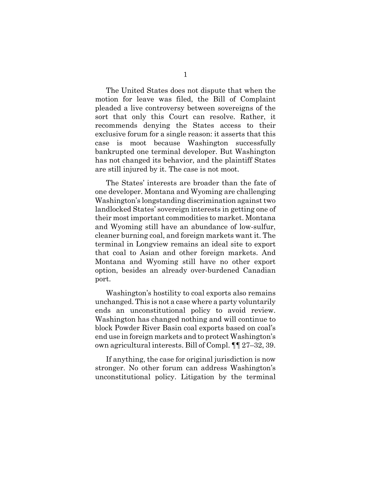The United States does not dispute that when the motion for leave was filed, the Bill of Complaint pleaded a live controversy between sovereigns of the sort that only this Court can resolve. Rather, it recommends denying the States access to their exclusive forum for a single reason: it asserts that this case is moot because Washington successfully bankrupted one terminal developer. But Washington has not changed its behavior, and the plaintiff States are still injured by it. The case is not moot.

The States' interests are broader than the fate of one developer. Montana and Wyoming are challenging Washington's longstanding discrimination against two landlocked States' sovereign interests in getting one of their most important commodities to market. Montana and Wyoming still have an abundance of low-sulfur, cleaner burning coal, and foreign markets want it. The terminal in Longview remains an ideal site to export that coal to Asian and other foreign markets. And Montana and Wyoming still have no other export option, besides an already over-burdened Canadian port.

Washington's hostility to coal exports also remains unchanged. This is not a case where a party voluntarily ends an unconstitutional policy to avoid review. Washington has changed nothing and will continue to block Powder River Basin coal exports based on coal's end use in foreign markets and to protect Washington's own agricultural interests. Bill of Compl. ¶¶ 27–32, 39.

If anything, the case for original jurisdiction is now stronger. No other forum can address Washington's unconstitutional policy. Litigation by the terminal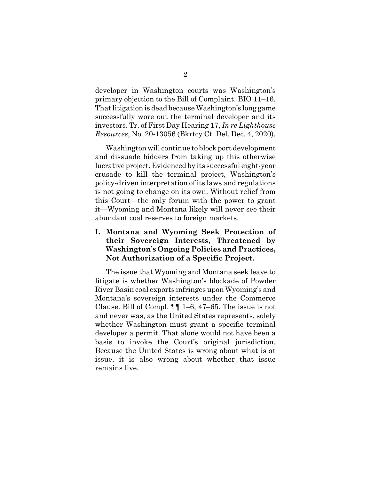developer in Washington courts was Washington's primary objection to the Bill of Complaint. BIO 11–16. That litigation is dead because Washington's long game successfully wore out the terminal developer and its investors. Tr. of First Day Hearing 17, *In re Lighthouse Resources*, No. 20-13056 (Bkrtcy Ct. Del. Dec. 4, 2020).

Washington will continue to block port development and dissuade bidders from taking up this otherwise lucrative project. Evidenced by its successful eight-year crusade to kill the terminal project, Washington's policy-driven interpretation of its laws and regulations is not going to change on its own. Without relief from this Court—the only forum with the power to grant it—Wyoming and Montana likely will never see their abundant coal reserves to foreign markets.

### **I. Montana and Wyoming Seek Protection of their Sovereign Interests, Threatened by Washington's Ongoing Policies and Practices, Not Authorization of a Specific Project.**

The issue that Wyoming and Montana seek leave to litigate is whether Washington's blockade of Powder River Basin coal exports infringes upon Wyoming's and Montana's sovereign interests under the Commerce Clause. Bill of Compl. ¶¶ 1–6, 47–65. The issue is not and never was, as the United States represents, solely whether Washington must grant a specific terminal developer a permit. That alone would not have been a basis to invoke the Court's original jurisdiction. Because the United States is wrong about what is at issue, it is also wrong about whether that issue remains live.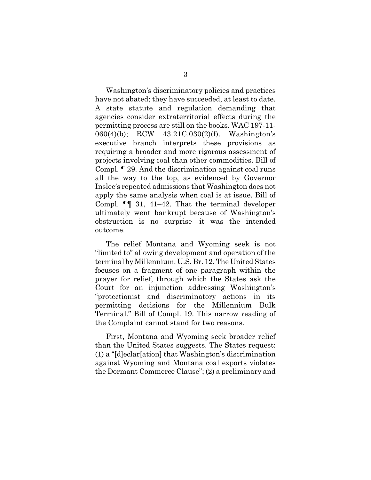Washington's discriminatory policies and practices have not abated; they have succeeded, at least to date. A state statute and regulation demanding that agencies consider extraterritorial effects during the permitting process are still on the books. WAC 197-11- 060(4)(b); RCW 43.21C.030(2)(f). Washington's executive branch interprets these provisions as requiring a broader and more rigorous assessment of projects involving coal than other commodities. Bill of Compl. ¶ 29. And the discrimination against coal runs all the way to the top, as evidenced by Governor Inslee's repeated admissions that Washington does not apply the same analysis when coal is at issue. Bill of Compl. ¶¶ 31, 41–42. That the terminal developer ultimately went bankrupt because of Washington's obstruction is no surprise—it was the intended outcome.

The relief Montana and Wyoming seek is not "limited to" allowing development and operation of the terminal by Millennium. U.S. Br. 12. The United States focuses on a fragment of one paragraph within the prayer for relief, through which the States ask the Court for an injunction addressing Washington's "protectionist and discriminatory actions in its permitting decisions for the Millennium Bulk Terminal." Bill of Compl. 19. This narrow reading of the Complaint cannot stand for two reasons.

First, Montana and Wyoming seek broader relief than the United States suggests. The States request: (1) a "[d]eclar[ation] that Washington's discrimination against Wyoming and Montana coal exports violates the Dormant Commerce Clause"; (2) a preliminary and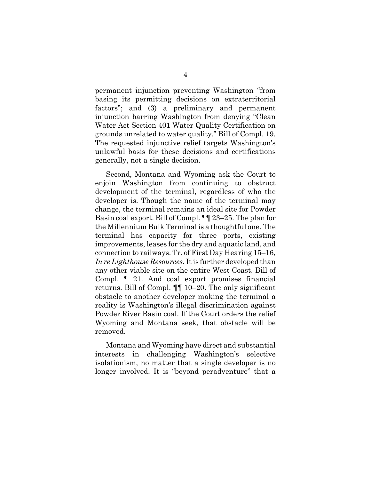permanent injunction preventing Washington "from basing its permitting decisions on extraterritorial factors"; and (3) a preliminary and permanent injunction barring Washington from denying "Clean Water Act Section 401 Water Quality Certification on grounds unrelated to water quality." Bill of Compl. 19. The requested injunctive relief targets Washington's unlawful basis for these decisions and certifications generally, not a single decision.

Second, Montana and Wyoming ask the Court to enjoin Washington from continuing to obstruct development of the terminal, regardless of who the developer is. Though the name of the terminal may change, the terminal remains an ideal site for Powder Basin coal export. Bill of Compl. ¶¶ 23–25. The plan for the Millennium Bulk Terminal is a thoughtful one. The terminal has capacity for three ports, existing improvements, leases for the dry and aquatic land, and connection to railways. Tr. of First Day Hearing 15–16, *In re Lighthouse Resources*. It is further developed than any other viable site on the entire West Coast. Bill of Compl. ¶ 21. And coal export promises financial returns. Bill of Compl. ¶¶ 10–20. The only significant obstacle to another developer making the terminal a reality is Washington's illegal discrimination against Powder River Basin coal. If the Court orders the relief Wyoming and Montana seek, that obstacle will be removed.

Montana and Wyoming have direct and substantial interests in challenging Washington's selective isolationism, no matter that a single developer is no longer involved. It is "beyond peradventure" that a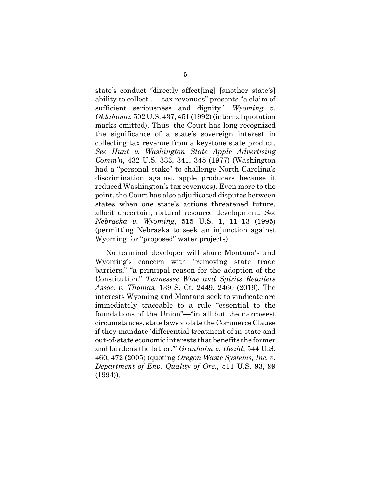state's conduct "directly affect[ing] [another state's] ability to collect . . . tax revenues" presents "a claim of sufficient seriousness and dignity." *Wyoming v. Oklahoma*, 502 U.S. 437, 451 (1992) (internal quotation marks omitted). Thus, the Court has long recognized the significance of a state's sovereign interest in collecting tax revenue from a keystone state product. *See Hunt v. Washington State Apple Advertising Comm'n*, 432 U.S. 333, 341, 345 (1977) (Washington had a "personal stake" to challenge North Carolina's discrimination against apple producers because it reduced Washington's tax revenues). Even more to the point, the Court has also adjudicated disputes between states when one state's actions threatened future, albeit uncertain, natural resource development. *See Nebraska v. Wyoming*, 515 U.S. 1, 11–13 (1995) (permitting Nebraska to seek an injunction against Wyoming for "proposed" water projects).

No terminal developer will share Montana's and Wyoming's concern with "removing state trade barriers," "a principal reason for the adoption of the Constitution." *Tennessee Wine and Spirits Retailers Assoc. v. Thomas*, 139 S. Ct. 2449, 2460 (2019). The interests Wyoming and Montana seek to vindicate are immediately traceable to a rule "essential to the foundations of the Union"—"in all but the narrowest circumstances, state laws violate the Commerce Clause if they mandate 'differential treatment of in-state and out-of-state economic interests that benefits the former and burdens the latter.'" *Granholm v. Heald*, 544 U.S. 460, 472 (2005) (quoting *Oregon Waste Systems, Inc. v. Department of Env. Quality of Ore.*, 511 U.S. 93, 99 (1994)).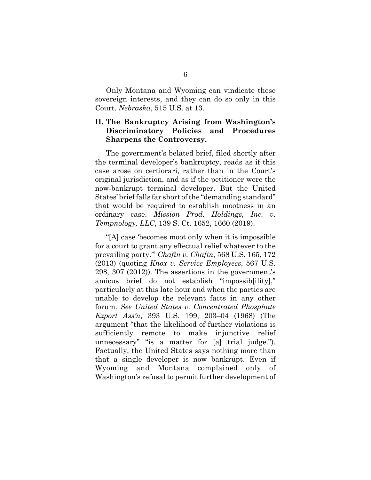Only Montana and Wyoming can vindicate these sovereign interests, and they can do so only in this Court. *Nebraska*, 515 U.S. at 13.

### **II. The Bankruptcy Arising from Washington's Discriminatory Policies and Procedures Sharpens the Controversy.**

The government's belated brief, filed shortly after the terminal developer's bankruptcy, reads as if this case arose on certiorari, rather than in the Court's original jurisdiction, and as if the petitioner were the now-bankrupt terminal developer. But the United States' brief falls far short of the "demanding standard" that would be required to establish mootness in an ordinary case. *Mission Prod. Holdings, Inc. v. Tempnology, LLC*, 139 S. Ct. 1652, 1660 (2019).

"[A] case 'becomes moot only when it is impossible for a court to grant any effectual relief whatever to the prevailing party.'" *Chafin v. Chafin*, 568 U.S. 165, 172 (2013) (quoting *Knox v. Service Employees*, 567 U.S. 298, 307 (2012)). The assertions in the government's amicus brief do not establish "impossib[ility]," particularly at this late hour and when the parties are unable to develop the relevant facts in any other forum. *See United States v. Concentrated Phosphate Export Ass'n*, 393 U.S. 199, 203–04 (1968) (The argument "that the likelihood of further violations is sufficiently remote to make injunctive relief unnecessary" "is a matter for [a] trial judge."). Factually, the United States says nothing more than that a single developer is now bankrupt. Even if Wyoming and Montana complained only of Washington's refusal to permit further development of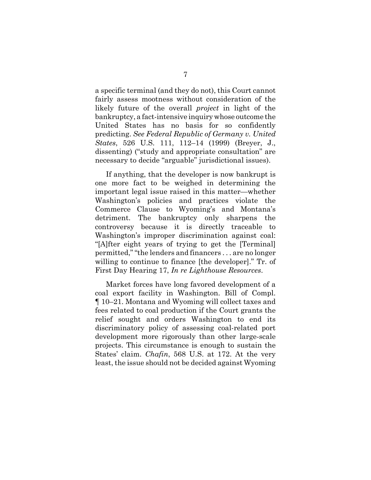a specific terminal (and they do not), this Court cannot fairly assess mootness without consideration of the likely future of the overall *project* in light of the bankruptcy, a fact-intensive inquiry whose outcome the United States has no basis for so confidently predicting. *See Federal Republic of Germany v. United States*, 526 U.S. 111, 112–14 (1999) (Breyer, J., dissenting) ("study and appropriate consultation" are necessary to decide "arguable" jurisdictional issues).

If anything, that the developer is now bankrupt is one more fact to be weighed in determining the important legal issue raised in this matter—whether Washington's policies and practices violate the Commerce Clause to Wyoming's and Montana's detriment. The bankruptcy only sharpens the controversy because it is directly traceable to Washington's improper discrimination against coal: "[A]fter eight years of trying to get the [Terminal] permitted," "the lenders and financers . . . are no longer willing to continue to finance [the developer]." Tr. of First Day Hearing 17, *In re Lighthouse Resources*.

Market forces have long favored development of a coal export facility in Washington. Bill of Compl. ¶ 10–21. Montana and Wyoming will collect taxes and fees related to coal production if the Court grants the relief sought and orders Washington to end its discriminatory policy of assessing coal-related port development more rigorously than other large-scale projects. This circumstance is enough to sustain the States' claim. *Chafin*, 568 U.S. at 172. At the very least, the issue should not be decided against Wyoming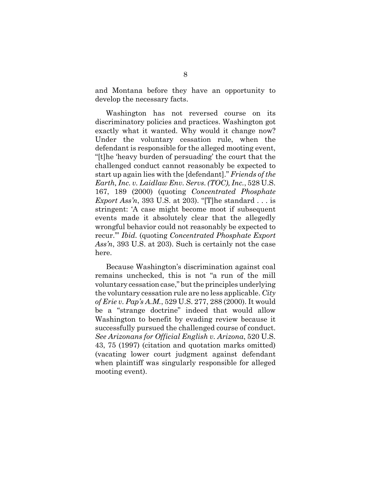and Montana before they have an opportunity to develop the necessary facts.

Washington has not reversed course on its discriminatory policies and practices. Washington got exactly what it wanted. Why would it change now? Under the voluntary cessation rule, when the defendant is responsible for the alleged mooting event, "[t]he 'heavy burden of persuading' the court that the challenged conduct cannot reasonably be expected to start up again lies with the [defendant]." *Friends of the Earth, Inc. v. Laidlaw Env. Servs. (TOC), Inc.*, 528 U.S. 167, 189 (2000) (quoting *Concentrated Phosphate Export Ass'n*, 393 U.S. at 203). "[T]he standard . . . is stringent: 'A case might become moot if subsequent events made it absolutely clear that the allegedly wrongful behavior could not reasonably be expected to recur.'" *Ibid.* (quoting *Concentrated Phosphate Export Ass'n*, 393 U.S. at 203). Such is certainly not the case here.

Because Washington's discrimination against coal remains unchecked, this is not "a run of the mill voluntary cessation case," but the principles underlying the voluntary cessation rule are no less applicable. *City of Erie v. Pap's A.M.*, 529 U.S. 277, 288 (2000). It would be a "strange doctrine" indeed that would allow Washington to benefit by evading review because it successfully pursued the challenged course of conduct. *See Arizonans for Official English v. Arizona*, 520 U.S. 43, 75 (1997) (citation and quotation marks omitted) (vacating lower court judgment against defendant when plaintiff was singularly responsible for alleged mooting event).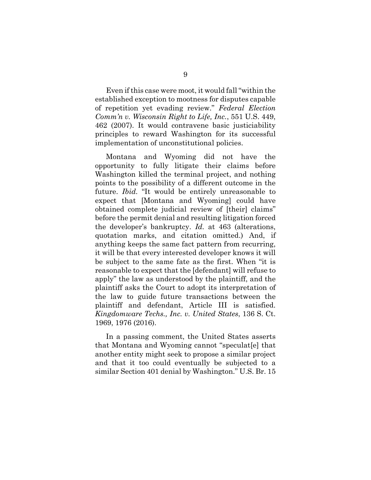Even if this case were moot, it would fall "within the established exception to mootness for disputes capable of repetition yet evading review." *Federal Election Comm'n v. Wisconsin Right to Life, Inc.*, 551 U.S. 449, 462 (2007). It would contravene basic justiciability principles to reward Washington for its successful implementation of unconstitutional policies.

Montana and Wyoming did not have the opportunity to fully litigate their claims before Washington killed the terminal project, and nothing points to the possibility of a different outcome in the future. *Ibid.* "It would be entirely unreasonable to expect that [Montana and Wyoming] could have obtained complete judicial review of [their] claims" before the permit denial and resulting litigation forced the developer's bankruptcy. *Id.* at 463 (alterations, quotation marks, and citation omitted.) And, if anything keeps the same fact pattern from recurring, it will be that every interested developer knows it will be subject to the same fate as the first. When "it is reasonable to expect that the [defendant] will refuse to apply" the law as understood by the plaintiff, and the plaintiff asks the Court to adopt its interpretation of the law to guide future transactions between the plaintiff and defendant, Article III is satisfied. *Kingdomware Techs., Inc. v. United States*, 136 S. Ct. 1969, 1976 (2016).

In a passing comment, the United States asserts that Montana and Wyoming cannot "speculat[e] that another entity might seek to propose a similar project and that it too could eventually be subjected to a similar Section 401 denial by Washington." U.S. Br. 15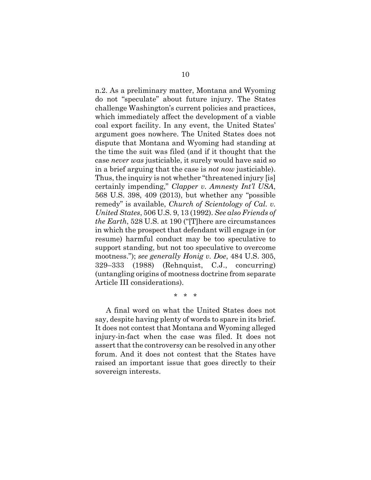n.2. As a preliminary matter, Montana and Wyoming do not "speculate" about future injury. The States challenge Washington's current policies and practices, which immediately affect the development of a viable coal export facility. In any event, the United States' argument goes nowhere. The United States does not dispute that Montana and Wyoming had standing at the time the suit was filed (and if it thought that the case *never was* justiciable, it surely would have said so in a brief arguing that the case is *not now* justiciable). Thus, the inquiry is not whether "threatened injury [is] certainly impending," *Clapper v. Amnesty Int'l USA*, 568 U.S. 398, 409 (2013), but whether any "possible remedy" is available, *Church of Scientology of Cal. v. United States*, 506 U.S. 9, 13 (1992). *See also Friends of the Earth*, 528 U.S. at 190 ("[T]here are circumstances in which the prospect that defendant will engage in (or resume) harmful conduct may be too speculative to support standing, but not too speculative to overcome mootness."); *see generally Honig v. Doe*, 484 U.S. 305, 329–333 (1988) (Rehnquist, C.J., concurring) (untangling origins of mootness doctrine from separate Article III considerations).

\* \* \*

A final word on what the United States does not say, despite having plenty of words to spare in its brief. It does not contest that Montana and Wyoming alleged injury-in-fact when the case was filed. It does not assert that the controversy can be resolved in any other forum. And it does not contest that the States have raised an important issue that goes directly to their sovereign interests.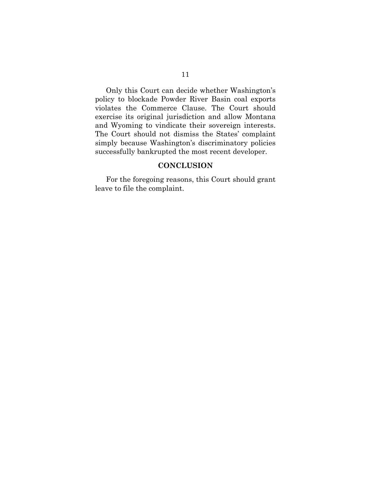Only this Court can decide whether Washington's policy to blockade Powder River Basin coal exports violates the Commerce Clause. The Court should exercise its original jurisdiction and allow Montana and Wyoming to vindicate their sovereign interests. The Court should not dismiss the States' complaint simply because Washington's discriminatory policies successfully bankrupted the most recent developer.

#### **CONCLUSION**

For the foregoing reasons, this Court should grant leave to file the complaint.